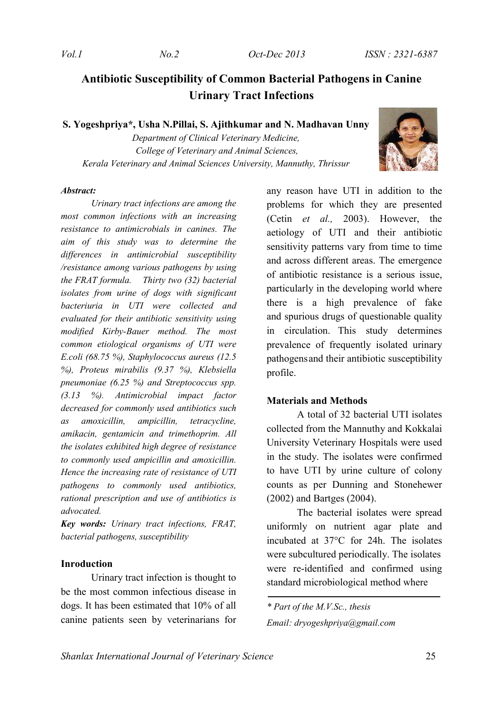# **Antibiotic Susceptibility of Common Bacterial Pathogens in Canine Urinary Tract Infections**

**S. Yogeshpriya\*, Usha N.Pillai, S. Ajithkumar and N. Madhavan Unny**

*Department of Clinical Veterinary Medicine, College of Veterinary and Animal Sciences, Kerala Veterinary and Animal Sciences University, Mannuthy, Thrissur*



#### *Abstract:*

*Urinary tract infections are among the most common infections with an increasing resistance to antimicrobials in canines. The aim of this study was to determine the differences in antimicrobial susceptibility /resistance among various pathogens by using the FRAT formula. Thirty two (32) bacterial isolates from urine of dogs with significant bacteriuria in UTI were collected and evaluated for their antibiotic sensitivity using modified Kirby-Bauer method. The most common etiological organisms of UTI were E.coli (68.75 %), Staphylococcus aureus (12.5 %), Proteus mirabilis (9.37 %), Klebsiella pneumoniae (6.25 %) and Streptococcus spp. (3.13 %). Antimicrobial impact factor decreased for commonly used antibiotics such as amoxicillin, ampicillin, tetracycline, amikacin, gentamicin and trimethoprim. All the isolates exhibited high degree of resistance to commonly used ampicillin and amoxicillin. Hence the increasing rate of resistance of UTI pathogens to commonly used antibiotics, rational prescription and use of antibiotics is advocated.*

*Key words: Urinary tract infections, FRAT, bacterial pathogens, susceptibility*

#### **Inroduction**

Urinary tract infection is thought to be the most common infectious disease in dogs. It has been estimated that 10% of all canine patients seen by veterinarians for any reason have UTI in addition to the problems for which they are presented (Cetin *et al.,* 2003). However, the aetiology of UTI and their antibiotic sensitivity patterns vary from time to time and across different areas. The emergence of antibiotic resistance is a serious issue, particularly in the developing world where there is a high prevalence of fake and spurious drugs of questionable quality in circulation. This study determines prevalence of frequently isolated urinary pathogensand their antibiotic susceptibility profile.

#### **Materials and Methods**

A total of 32 bacterial UTI isolates collected from the Mannuthy and Kokkalai University Veterinary Hospitals were used in the study. The isolates were confirmed to have UTI by urine culture of colony counts as per Dunning and Stonehewer (2002) and Bartges (2004).

The bacterial isolates were spread uniformly on nutrient agar plate and incubated at 37°C for 24h. The isolates were subcultured periodically. The isolates were re-identified and confirmed using standard microbiological method where

*<sup>\*</sup> Part of the M.V.Sc., thesis Email: dryogeshpriya@gmail.com*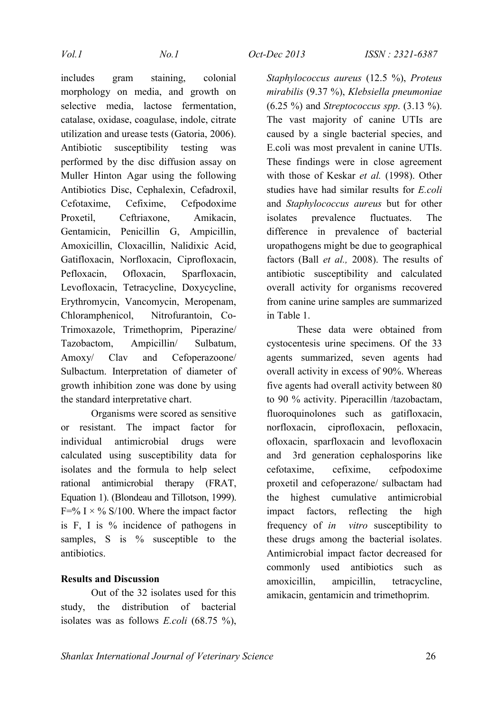includes gram staining, colonial morphology on media, and growth on selective media, lactose fermentation, catalase, oxidase, coagulase, indole, citrate utilization and urease tests (Gatoria, 2006). Antibiotic susceptibility testing was performed by the disc diffusion assay on Muller Hinton Agar using the following Antibiotics Disc, Cephalexin, Cefadroxil, Cefotaxime, Cefixime, Cefpodoxime Proxetil, Ceftriaxone, Amikacin, Gentamicin, Penicillin G, Ampicillin, Amoxicillin, Cloxacillin, Nalidixic Acid, Gatifloxacin, Norfloxacin, Ciprofloxacin, Pefloxacin, Ofloxacin, Sparfloxacin, Levofloxacin, Tetracycline, Doxycycline, Erythromycin, Vancomycin, Meropenam, Chloramphenicol, Nitrofurantoin, Co-Trimoxazole, Trimethoprim, Piperazine/ Tazobactom, Ampicillin/ Sulbatum, Amoxy/ Clav and Cefoperazoone/ Sulbactum. Interpretation of diameter of growth inhibition zone was done by using the standard interpretative chart.

Organisms were scored as sensitive or resistant. The impact factor for individual antimicrobial drugs were calculated using susceptibility data for isolates and the formula to help select rational antimicrobial therapy (FRAT, Equation 1). (Blondeau and Tillotson, 1999).  $F=$ % I  $\times$  % S/100. Where the impact factor is F, I is % incidence of pathogens in samples, S is % susceptible to the antibiotics.

## **Results and Discussion**

Out of the 32 isolates used for this study, the distribution of bacterial isolates was as follows *E.coli* (68.75 %), *Staphylococcus aureus* (12.5 %), *Proteus mirabilis* (9.37 %), *Klebsiella pneumoniae* (6.25 %) and *Streptococcus spp*. (3.13 %). The vast majority of canine UTIs are caused by a single bacterial species, and E.coli was most prevalent in canine UTIs. These findings were in close agreement with those of Keskar *et al.* (1998). Other studies have had similar results for *E.coli* and *Staphylococcus aureus* but for other isolates prevalence fluctuates. The difference in prevalence of bacterial uropathogens might be due to geographical factors (Ball *et al.,* 2008). The results of antibiotic susceptibility and calculated overall activity for organisms recovered from canine urine samples are summarized in Table 1.

These data were obtained from cystocentesis urine specimens. Of the 33 agents summarized, seven agents had overall activity in excess of 90%. Whereas five agents had overall activity between 80 to 90 % activity. Piperacillin /tazobactam, fluoroquinolones such as gatifloxacin, norfloxacin, ciprofloxacin, pefloxacin, ofloxacin, sparfloxacin and levofloxacin and 3rd generation cephalosporins like cefotaxime, cefixime, cefpodoxime proxetil and cefoperazone/ sulbactam had the highest cumulative antimicrobial impact factors, reflecting the high frequency of *in vitro* susceptibility to these drugs among the bacterial isolates. Antimicrobial impact factor decreased for commonly used antibiotics such as amoxicillin, ampicillin, tetracycline, amikacin, gentamicin and trimethoprim.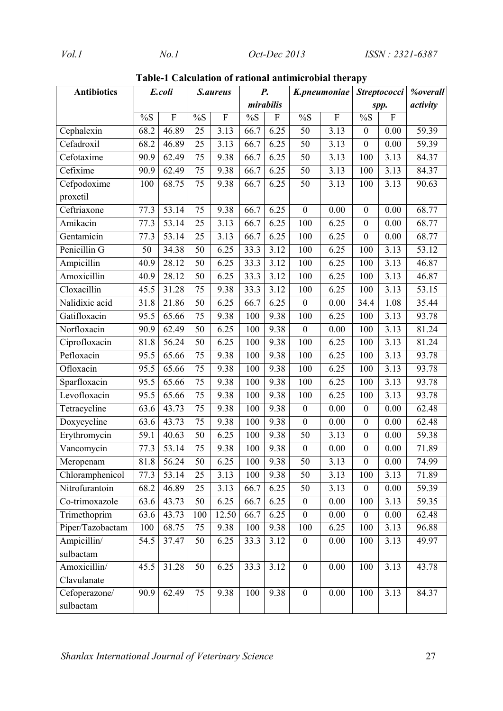| <b>Antibiotics</b> | E.coli            |           | S.aureus        |           | $\boldsymbol{P}$ . |                           | K.pneumoniae     |           | Streptococci     |                   | <b>%overall</b>    |
|--------------------|-------------------|-----------|-----------------|-----------|--------------------|---------------------------|------------------|-----------|------------------|-------------------|--------------------|
|                    |                   |           |                 |           | mirabilis          |                           |                  |           | spp.             |                   | activity           |
|                    | $\%S$             | ${\bf F}$ | $\%S$           | ${\bf F}$ | %S                 | $\boldsymbol{\mathrm{F}}$ | $\%S$            | ${\bf F}$ | $\%S$            | $\mathbf F$       |                    |
| Cephalexin         | 68.2              | 46.89     | 25              | 3.13      | 66.7               | 6.25                      | 50               | 3.13      | $\boldsymbol{0}$ | 0.00              | 59.39              |
| Cefadroxil         | 68.2              | 46.89     | 25              | 3.13      | 66.7               | 6.25                      | 50               | 3.13      | $\mathbf{0}$     | 0.00              | 59.39              |
| Cefotaxime         | 90.9              | 62.49     | 75              | 9.38      | 66.7               | 6.25                      | 50               | 3.13      | 100              | 3.13              | 84.37              |
| Cefixime           | 90.9              | 62.49     | 75              | 9.38      | 66.7               | 6.25                      | 50               | 3.13      | 100              | 3.13              | 84.37              |
| Cefpodoxime        | 100               | 68.75     | 75              | 9.38      | 66.7               | 6.25                      | 50               | 3.13      | 100              | 3.13              | 90.63              |
| proxetil           |                   |           |                 |           |                    |                           |                  |           |                  |                   |                    |
| Ceftriaxone        | 77.3              | 53.14     | 75              | 9.38      | 66.7               | 6.25                      | $\boldsymbol{0}$ | 0.00      | $\boldsymbol{0}$ | 0.00              | 68.77              |
| Amikacin           | 77.3              | 53.14     | 25              | 3.13      | 66.7               | 6.25                      | 100              | 6.25      | $\mathbf{0}$     | 0.00              | 68.77              |
| Gentamicin         | 77.3              | 53.14     | 25              | 3.13      | 66.7               | 6.25                      | 100              | 6.25      | $\boldsymbol{0}$ | 0.00              | 68.77              |
| Penicillin G       | 50                | 34.38     | 50              | 6.25      | 33.3               | 3.12                      | 100              | 6.25      | 100              | 3.13              | $\overline{53.12}$ |
| Ampicillin         | 40.9              | 28.12     | 50              | 6.25      | 33.3               | 3.12                      | 100              | 6.25      | 100              | 3.13              | 46.87              |
| Amoxicillin        | 40.9              | 28.12     | 50              | 6.25      | 33.3               | 3.12                      | 100              | 6.25      | 100              | $\overline{3.13}$ | 46.87              |
| Cloxacillin        | 45.5              | 31.28     | 75              | 9.38      | 33.3               | $\overline{3.12}$         | 100              | 6.25      | 100              | 3.13              | 53.15              |
| Nalidixic acid     | 31.8              | 21.86     | 50              | 6.25      | 66.7               | 6.25                      | $\boldsymbol{0}$ | 0.00      | 34.4             | 1.08              | 35.44              |
| Gatifloxacin       | 95.5              | 65.66     | 75              | 9.38      | 100                | 9.38                      | 100              | 6.25      | 100              | 3.13              | 93.78              |
| Norfloxacin        | 90.9              | 62.49     | 50              | 6.25      | 100                | 9.38                      | $\boldsymbol{0}$ | 0.00      | 100              | 3.13              | 81.24              |
| Ciprofloxacin      | 81.8              | 56.24     | 50              | 6.25      | 100                | 9.38                      | 100              | 6.25      | 100              | 3.13              | 81.24              |
| Pefloxacin         | 95.5              | 65.66     | 75              | 9.38      | 100                | 9.38                      | 100              | 6.25      | 100              | 3.13              | 93.78              |
| Ofloxacin          | 95.5              | 65.66     | 75              | 9.38      | 100                | 9.38                      | 100              | 6.25      | 100              | 3.13              | 93.78              |
| Sparfloxacin       | 95.5              | 65.66     | 75              | 9.38      | 100                | 9.38                      | 100              | 6.25      | 100              | 3.13              | 93.78              |
| Levofloxacin       | 95.5              | 65.66     | 75              | 9.38      | 100                | 9.38                      | 100              | 6.25      | 100              | $\overline{3.13}$ | 93.78              |
| Tetracycline       | 63.6              | 43.73     | 75              | 9.38      | 100                | 9.38                      | $\boldsymbol{0}$ | 0.00      | $\boldsymbol{0}$ | 0.00              | 62.48              |
| Doxycycline        | 63.6              | 43.73     | 75              | 9.38      | 100                | 9.38                      | $\mathbf{0}$     | 0.00      | $\mathbf{0}$     | 0.00              | 62.48              |
| Erythromycin       | 59.1              | 40.63     | 50              | 6.25      | 100                | 9.38                      | 50               | 3.13      | $\boldsymbol{0}$ | 0.00              | 59.38              |
| Vancomycin         | $\overline{77.3}$ | 53.14     | 75              | 9.38      | 100                | 9.38                      | $\mathbf{0}$     | 0.00      | $\boldsymbol{0}$ | 0.00              | 71.89              |
| Meropenam          | 81.8              | 56.24     | $\overline{50}$ | 6.25      | 100                | 9.38                      | 50               | 3.13      | $\boldsymbol{0}$ | $0.00\,$          | 74.99              |
| Chloramphenicol    | 77.3              | 53.14     | 25              | 3.13      | 100                | 9.38                      | 50               | 3.13      | 100              | 3.13              | 71.89              |
| Nitrofurantoin     | 68.2              | 46.89     | 25              | 3.13      | 66.7               | 6.25                      | 50               | 3.13      | $\boldsymbol{0}$ | 0.00              | 59.39              |
| Co-trimoxazole     | 63.6              | 43.73     | 50              | 6.25      | 66.7               | 6.25                      | $\boldsymbol{0}$ | 0.00      | 100              | 3.13              | 59.35              |
| Trimethoprim       | 63.6              | 43.73     | 100             | 12.50     | 66.7               | 6.25                      | $\boldsymbol{0}$ | 0.00      | $\boldsymbol{0}$ | 0.00              | 62.48              |
| Piper/Tazobactam   | 100               | 68.75     | 75              | 9.38      | 100                | 9.38                      | 100              | 6.25      | 100              | 3.13              | 96.88              |
| Ampicillin/        | 54.5              | 37.47     | 50              | 6.25      | 33.3               | 3.12                      | $\boldsymbol{0}$ | 0.00      | 100              | 3.13              | 49.97              |
| sulbactam          |                   |           |                 |           |                    |                           |                  |           |                  |                   |                    |
| Amoxicillin/       | 45.5              | 31.28     | 50              | 6.25      | 33.3               | 3.12                      | $\boldsymbol{0}$ | 0.00      | 100              | 3.13              | 43.78              |
| Clavulanate        |                   |           |                 |           |                    |                           |                  |           |                  |                   |                    |
| Cefoperazone/      | 90.9              | 62.49     | 75              | 9.38      | 100                | 9.38                      | $\boldsymbol{0}$ | 0.00      | 100              | 3.13              | 84.37              |
| sulbactam          |                   |           |                 |           |                    |                           |                  |           |                  |                   |                    |

**Table-1 Calculation of rational antimicrobial therapy**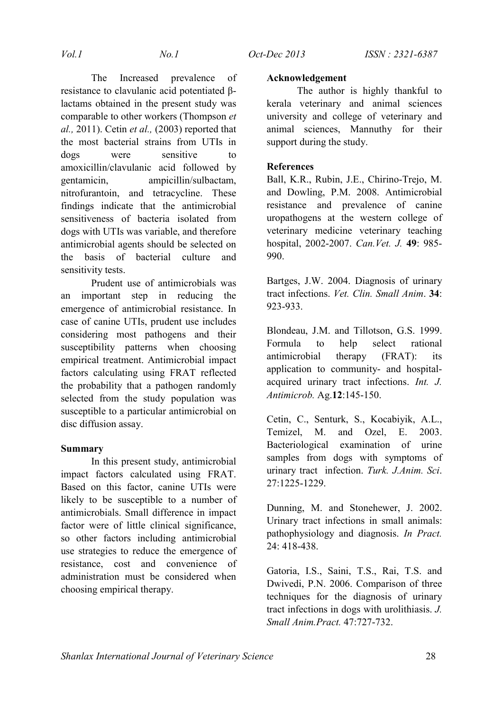The Increased prevalence of

**Acknowledgement**

The author is highly thankful to kerala veterinary and animal sciences university and college of veterinary and animal sciences, Mannuthy for their support during the study.

# **References**

Ball, K.R., Rubin, J.E., Chirino-Trejo, M. and Dowling, P.M. 2008. Antimicrobial resistance and prevalence of canine uropathogens at the western college of veterinary medicine veterinary teaching hospital, 2002-2007. *Can.Vet. J.* **49**: 985- 990.

Bartges, J.W. 2004. Diagnosis of urinary tract infections. *Vet. Clin. Small Anim*. **34**: 923-933.

Blondeau, J.M. and Tillotson, G.S. 1999. Formula to help select rational antimicrobial therapy (FRAT): its application to community- and hospitalacquired urinary tract infections. *Int. J. Antimicrob.* Ag.**12**:145-150.

Cetin, C., Senturk, S., Kocabiyik, A.L., Temizel, M. and Ozel, E. 2003. Bacteriological examination of urine samples from dogs with symptoms of urinary tract infection. *Turk. J.Anim. Sci*. 27:1225-1229.

Dunning, M. and Stonehewer, J. 2002. Urinary tract infections in small animals: pathophysiology and diagnosis. *In Pract.* 24: 418-438.

Gatoria, I.S., Saini, T.S., Rai, T.S. and Dwivedi, P.N. 2006. Comparison of three techniques for the diagnosis of urinary tract infections in dogs with urolithiasis. *J. Small Anim.Pract.* 47:727-732.

resistance to clavulanic acid potentiated βlactams obtained in the present study was comparable to other workers (Thompson *et al.,* 2011). Cetin *et al.,* (2003) reported that the most bacterial strains from UTIs in dogs were sensitive to amoxicillin/clavulanic acid followed by gentamicin, ampicillin/sulbactam, nitrofurantoin, and tetracycline. These findings indicate that the antimicrobial sensitiveness of bacteria isolated from dogs with UTIs was variable, and therefore antimicrobial agents should be selected on the basis of bacterial culture and sensitivity tests.

Prudent use of antimicrobials was an important step in reducing the emergence of antimicrobial resistance. In case of canine UTIs, prudent use includes considering most pathogens and their susceptibility patterns when choosing empirical treatment. Antimicrobial impact factors calculating using FRAT reflected the probability that a pathogen randomly selected from the study population was susceptible to a particular antimicrobial on disc diffusion assay.

## **Summary**

In this present study, antimicrobial impact factors calculated using FRAT. Based on this factor, canine UTIs were likely to be susceptible to a number of antimicrobials. Small difference in impact factor were of little clinical significance, so other factors including antimicrobial use strategies to reduce the emergence of resistance, cost and convenience of administration must be considered when choosing empirical therapy.